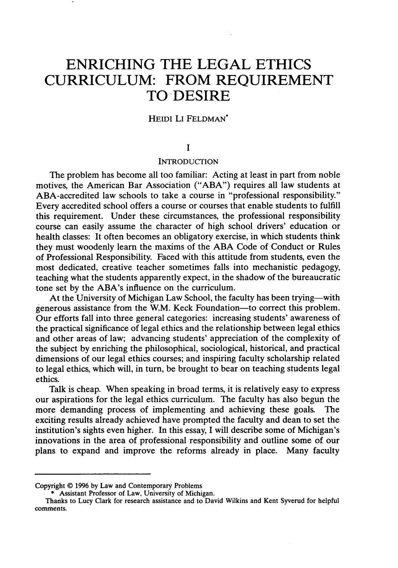# **ENRICHING THE LEGAL ETHICS CURRICULUM: FROM REQUIREMENT TO DESIRE**

# HEIDI LI FELDMAN\*

## **I**

#### **INTRODUCTION**

The problem has become all too familiar: Acting at least in part from noble motives, the American Bar Association ("ABA") requires all law students at ABA-accredited law schools to take a course in "professional responsibility." Every accredited school offers a course or courses that enable students to fulfill this requirement. Under these circumstances, the professional responsibility course can easily assume the character of high school drivers' education or health classes: It often becomes an obligatory exercise, in which students think they must woodenly learn the maxims of the ABA Code of Conduct or Rules of Professional Responsibility. Faced with this attitude from students, even the most dedicated, creative teacher sometimes falls into mechanistic pedagogy, teaching what the students apparently expect, in the shadow of the bureaucratic tone set by the ABA's influence on the curriculum.

At the University of Michigan Law School, the faculty has been trying—with generous assistance from the W.M. Keck Foundation-to correct this problem. Our efforts fall into three general categories: increasing students' awareness of the practical significance of legal ethics and the relationship between legal ethics and other areas of law; advancing students' appreciation of the complexity of the subject by enriching the philosophical, sociological, historical, and practical dimensions of our legal ethics courses; and inspiring faculty scholarship related to legal ethics, which will, in turn, be brought to bear on teaching students legal ethics.

Talk is cheap. When speaking in broad terms, it is relatively easy to express our aspirations for the legal ethics curriculum. The faculty has also begun the more demanding process of implementing and achieving these goals. The exciting results already achieved have prompted the faculty and dean to set the institution's sights even higher. In this essay, I will describe some of Michigan's innovations in the area of professional responsibility and outline some of our plans to expand and improve the reforms already in place. Many faculty

Copyright © **1996 by** Law and Contemporary Problems

<sup>\*</sup> Assistant Professor of Law, University of Michigan.

Thanks to Lucy Clark for research assistance and to David Wilkins and Kent Syverud for helpful comments.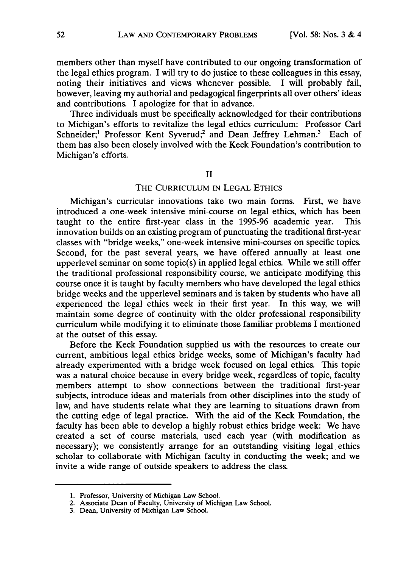members other than myself have contributed to our ongoing transformation of the legal ethics program. I will try to do justice to these colleagues in this essay, noting their initiatives and views whenever possible. I will probably fail, however, leaving my authorial and pedagogical fingerprints all over others' ideas and contributions. I apologize for that in advance.

Three individuals must be specifically acknowledged for their contributions to Michigan's efforts to revitalize the legal ethics curriculum: Professor Carl Schneider;<sup>1</sup> Professor Kent Syverud;<sup>2</sup> and Dean Jeffrey Lehman.<sup>3</sup> Each of them has also been closely involved with the Keck Foundation's contribution to Michigan's efforts.

## II

## THE CURRICULUM IN LEGAL ETHICS

Michigan's curricular innovations take two main forms. First, we have introduced a one-week intensive mini-course on legal ethics, which has been taught to the entire first-year class in the 1995-96 academic year. This innovation builds on an existing program of punctuating the traditional first-year classes with "bridge weeks," one-week intensive mini-courses on specific topics. Second, for the past several years, we have offered annually at least one upperlevel seminar on some topic(s) in applied legal ethics. While we still offer the traditional professional responsibility course, we anticipate modifying this course once it is taught by faculty members who have developed the legal ethics bridge weeks and the upperlevel seminars and is taken by students who have all experienced the legal ethics week in their first year. In this way, we will maintain some degree of continuity with the older professional responsibility curriculum while modifying it to eliminate those familiar problems I mentioned at the outset of this essay.

Before the Keck Foundation supplied us with the resources to create our current, ambitious legal ethics bridge weeks, some of Michigan's faculty had already experimented with a bridge week focused on legal ethics. This topic was a natural choice because in every bridge week, regardless of topic, faculty members attempt to show connections between the traditional first-year subjects, introduce ideas and materials from other disciplines into the study of law, and have students relate what they are learning to situations drawn from the cutting edge of legal practice. With the aid of the Keck Foundation, the faculty has been able to develop a highly robust ethics bridge week: We have created a set of course materials, used each year (with modification as necessary); we consistently arrange for an outstanding visiting legal ethics scholar to collaborate with Michigan faculty in conducting the week; and we invite a wide range of outside speakers to address the class.

<sup>1.</sup> Professor, University of Michigan Law School.

<sup>2.</sup> Associate Dean of Faculty, University of Michigan Law School.

<sup>3.</sup> Dean, University of Michigan Law School.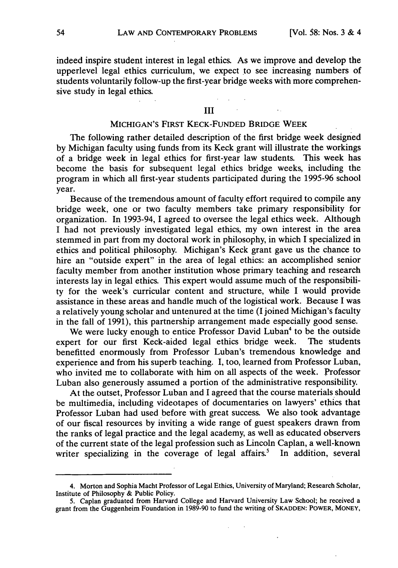indeed inspire student interest in legal ethics. As we improve and develop the upperlevel legal ethics curriculum, we expect to see increasing numbers of students voluntarily follow-up the first-year bridge weeks with more comprehensive study in legal ethics.

## III

## MICHIGAN'S FIRST KECK-FUNDED BRIDGE WEEK

The following rather detailed description of the first bridge week designed by Michigan faculty using funds from its Keck grant will illustrate the workings of a bridge week in legal ethics for first-year law students. This week has become the basis for subsequent legal ethics bridge weeks, including the program in which all first-year students participated during the 1995-96 school year.

Because of the tremendous amount of faculty effort required to compile any bridge week, one or two faculty members take primary responsibility for organization. In 1993-94, I agreed to oversee the legal ethics week. Although I had not previously investigated legal ethics, my own interest in the area stemmed in part from my doctoral work in philosophy, in which I specialized in ethics and political philosophy. Michigan's Keck grant gave us the chance to hire an "outside expert" in the area of legal ethics: an accomplished senior faculty member from another institution whose primary teaching and research interests lay in legal ethics. This expert would assume much of the responsibility for the week's curricular content and structure, while I would provide assistance in these areas and handle much of the logistical work. Because I was a relatively young scholar and untenured at the time (I joined Michigan's faculty in the fall of 1991), this partnership arrangement made especially good sense.

We were lucky enough to entice Professor David Luban<sup>4</sup> to be the outside expert for our first Keck-aided legal ethics bridge week. The students benefitted enormously from Professor Luban's tremendous knowledge and experience and from his superb teaching. I, too, learned from Professor Luban, who invited me to collaborate with him on all aspects of the week. Professor Luban also generously assumed a portion of the administrative responsibility.

At the outset, Professor Luban and I agreed that the course materials should be multimedia, including videotapes of documentaries on lawyers' ethics that Professor Luban had used before with great success. We also took advantage of our fiscal resources by inviting a wide range of guest speakers drawn from the ranks of legal practice and the legal academy, as well as educated observers of the current state of the legal profession such as Lincoln Caplan, a well-known writer specializing in the coverage of legal affairs.<sup>5</sup> In addition, several

<sup>4.</sup> Morton and Sophia Macht Professor of Legal Ethics, University of Maryland; Research Scholar, Institute of Philosophy & Public Policy.

<sup>5.</sup> Caplan graduated from Harvard College and Harvard University Law School; he received a grant from the Guggenheim Foundation in 1989-90 to fund the writing of **SKADDEN:** POWER, MONEY,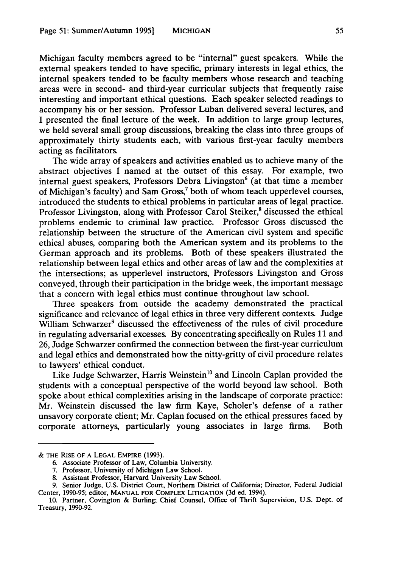Michigan faculty members agreed to be "internal" guest speakers. While the external speakers tended to have specific, primary interests in legal ethics, the internal speakers tended to be faculty members whose research and teaching areas were in second- and third-year curricular subjects that frequently raise interesting and important ethical questions. Each speaker selected readings to accompany his or her session. Professor Luban delivered several lectures, and I presented the final lecture of the week. In addition to large group lectures, we held several small group discussions, breaking the class into three groups of approximately thirty students each, with various first-year faculty members acting as facilitators. The wide array of speakers and activities enabled us to achieve many of the

abstract objectives I named at the outset of this essay. For example, two internal guest speakers, Professors Debra Livingston<sup>6</sup> (at that time a member of Michigan's faculty) and Sam Gross,<sup>7</sup> both of whom teach upperlevel courses, introduced the students to ethical problems in particular areas of legal practice. Professor Livingston, along with Professor Carol Steiker,<sup>8</sup> discussed the ethical problems endemic to criminal law practice. Professor Gross discussed the relationship between the structure of the American civil system and specific ethical abuses, comparing both the American system and its problems to the German approach and its problems. Both of these speakers illustrated the relationship between legal ethics and other areas of law and the complexities at the intersections; as upperlevel instructors, Professors Livingston and Gross conveyed, through their participation in the bridge week, the important message that a concern with legal ethics must continue throughout law school.

Three speakers from outside the academy demonstrated the practical significance and relevance of legal ethics in three very different contexts. Judge William Schwarzer<sup>9</sup> discussed the effectiveness of the rules of civil procedure in regulating adversarial excesses. By concentrating specifically on Rules 11 and 26, Judge Schwarzer confirmed the connection between the first-year curriculum and legal ethics and demonstrated how the nitty-gritty of civil procedure relates to lawyers' ethical conduct.

Like Judge Schwarzer, Harris Weinstein<sup>10</sup> and Lincoln Caplan provided the students with a conceptual perspective of the world beyond law school. Both spoke about ethical complexities arising in the landscape of corporate practice: Mr. Weinstein discussed the law firm Kaye, Scholer's defense of a rather unsavory corporate client; Mr. Caplan focused on the ethical pressures faced by corporate attorneys, particularly young associates in large firms. Both

<sup>&</sup>amp; THE RISE OF **A LEGAL** EMPIRE (1993).

<sup>6.</sup> Associate Professor of Law, Columbia University.

<sup>7.</sup> Professor, University of Michigan Law School.

<sup>8.</sup> Assistant Professor, Harvard University Law School.

<sup>9.</sup> Senior Judge, U.S. District Court, Northern District of California; Director, Federal Judicial Center, 1990-95; editor, **MANUAL** FOR COMPLEX LITIGATION (3d ed. 1994).

<sup>10.</sup> Partner, Covington & Burling; Chief Counsel, Office of Thrift Supervision, U.S. Dept. of Treasury, 1990-92.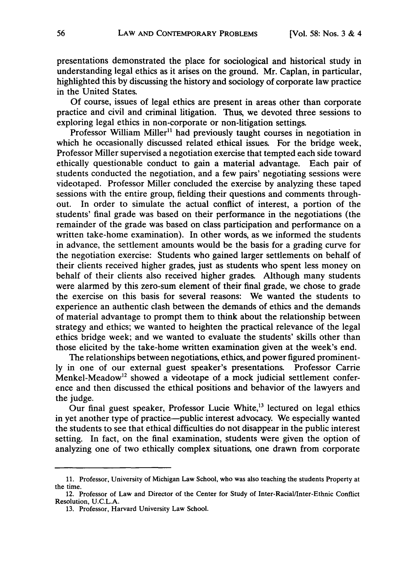presentations demonstrated the place for sociological and historical study in understanding legal ethics as it arises on the ground. Mr. Caplan, in particular, highlighted this by discussing the history and sociology of corporate law practice in the United States.

Of course, issues of legal ethics are present in areas other than corporate practice and civil and criminal litigation. Thus, we devoted three sessions to exploring legal ethics in non-corporate or non-litigation settings.

Professor William Miller<sup>11</sup> had previously taught courses in negotiation in which he occasionally discussed related ethical issues. For the bridge week, Professor Miller supervised a negotiation exercise that tempted each side toward ethically questionable conduct to gain a material advantage. Each pair of students conducted the negotiation, and a few pairs' negotiating sessions were videotaped. Professor Miller concluded the exercise by analyzing these taped sessions with the entire group, fielding their questions and comments throughout. In order to simulate the actual conflict of interest, a portion of the students' final grade was based on their performance in the negotiations (the remainder of the grade was based on class participation and performance on a written take-home examination). In other words, as we informed the students in advance, the settlement amounts would be the basis for a grading curve for the negotiation exercise: Students who gained larger settlements on behalf of their clients received higher grades, just as students who spent less money on behalf of their clients also received higher grades. Although many students were alarmed by this zero-sum element of their final grade, we chose to grade the exercise on this basis for several reasons: We wanted the students to experience an authentic clash between the demands of ethics and the demands of material advantage to prompt them to think about the relationship between strategy and ethics; we wanted to heighten the practical relevance of the legal ethics bridge week; and we wanted to evaluate the students' skills other than those elicited by the take-home written examination given at the week's end.

The relationships between negotiations, ethics, and power figured prominently in one of our external guest speaker's presentations. Professor Carrie Menkel-Meadow<sup>12</sup> showed a videotape of a mock judicial settlement conference and then discussed the ethical positions and behavior of the lawyers and the judge.

Our final guest speaker, Professor Lucie White, $^{13}$  lectured on legal ethics in yet another type of practice-public interest advocacy. We especially wanted the students to see that ethical difficulties do not disappear in the public interest setting. In fact, on the final examination, students were given the option of analyzing one of two ethically complex situations, one drawn from corporate

<sup>11.</sup> Professor, University of Michigan Law School, who was also teaching the students Property at the time.

<sup>12.</sup> Professor of Law and Director of the Center for Study of Inter-Racial/Inter-Ethnic Conflict Resolution, U.C.L.A.

<sup>13.</sup> Professor, Harvard University Law School.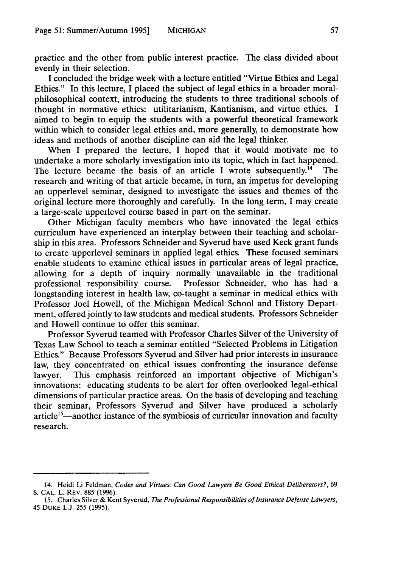practice and the other from public interest practice. The class divided about evenly in their selection.

I concluded the bridge week with a lecture entitled "Virtue Ethics and Legal Ethics." In this lecture, I placed the subject of legal ethics in a broader moralphilosophical context, introducing the students to three traditional schools of thought in normative ethics: utilitarianism, Kantianism, and virtue ethics. I aimed to begin to equip the students with a powerful theoretical framework within which to consider legal ethics and, more generally, to demonstrate how ideas and methods of another discipline can aid the legal thinker.

When I prepared the lecture, I hoped that it would motivate me to undertake a more scholarly investigation into its topic, which in fact happened.<br>The lecture became the basis of an article I wrote subsequently.<sup>14</sup> The The lecture became the basis of an article I wrote subsequently.<sup>14</sup> research and writing of that article became, in turn, an impetus for developing an upperlevel seminar, designed to investigate the issues and themes of the original lecture more thoroughly and carefully. In the long term, I may create a large-scale upperlevel course based in part on the seminar.

Other Michigan faculty members who have innovated the legal ethics curriculum have experienced an interplay between their teaching and scholarship in this area. Professors Schneider and Syverud have used Keck grant funds to create upperlevel seminars in applied legal ethics. These focused seminars enable students to examine ethical issues in particular areas of legal practice, allowing for a depth of inquiry normally unavailable in the traditional professional responsibility course. Professor Schneider, who has had a longstanding interest in health law, co-taught a seminar in medical ethics with Professor Joel Howell, of the Michigan Medical School and History Department, offered jointly to law students and medical students. Professors Schneider and Howell continue to offer this seminar.

Professor Syverud teamed with Professor Charles Silver of the University of Texas Law School to teach a seminar entitled "Selected Problems in Litigation Ethics." Because Professors Syverud and Silver had prior interests in insurance law, they concentrated on ethical issues confronting the insurance defense lawyer. This emphasis reinforced an important objective of Michigan's innovations: educating students to be alert for often overlooked legal-ethical dimensions of particular practice areas. On the basis of developing and teaching their seminar, Professors Syverud and Silver have produced a scholarly  $article <sup>15</sup>$ —another instance of the symbiosis of curricular innovation and faculty research.

<sup>14.</sup> Heidi Li Feldman, Codes and Virtues: Can Good Lawyers Be Good Ethical Deliberators?, 69 **S. CAL.** L. REV. **885 (1996).**

**<sup>15.</sup>** Charles Silver **&** Kent Syverud, The Professional Responsibilities of Insurance Defense Lawyers, 45 **DUKE** L.J. 255 **(1995).**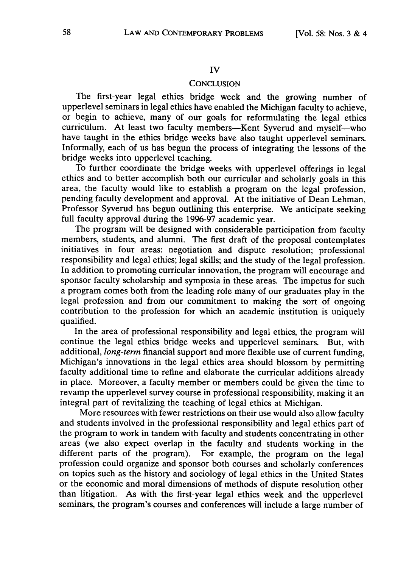#### IV

#### **CONCLUSION**

The first-year legal ethics bridge week and the growing number of upperlevel seminars in legal ethics have enabled the Michigan faculty to achieve, or begin to achieve, many of our goals for reformulating the legal ethics curriculum. At least two faculty members-Kent Syverud and myself-who have taught in the ethics bridge weeks have also taught upperlevel seminars. Informally, each of us has begun the process of integrating the lessons of the bridge weeks into upperlevel teaching.

To further coordinate the bridge weeks with upperlevel offerings in legal ethics and to better accomplish both our curricular and scholarly goals in this area, the faculty would like to establish a program on the legal profession, pending faculty development and approval. At the initiative of Dean Lehman, Professor Syverud has begun outlining this enterprise. We anticipate seeking full faculty approval during the 1996-97 academic year.

The program will be designed with considerable participation from faculty members, students, and alumni. The first draft of the proposal contemplates initiatives in four areas: negotiation and dispute resolution; professional responsibility and legal ethics; legal skills; and the study of the legal profession. In addition to promoting curricular innovation, the program will encourage and sponsor faculty scholarship and symposia in these areas. The impetus for such a program comes both from the leading role many of our graduates play in the legal profession and from our commitment to making the sort of ongoing contribution to the profession for which an academic institution is uniquely qualified.

In the area of professional responsibility and legal ethics, the program will continue the legal ethics bridge weeks and upperlevel seminars. But, with additional, *long-term* financial support and more flexible use of current funding, Michigan's innovations in the legal ethics area should blossom by permitting faculty additional time to refine and elaborate the curricular additions already in place. Moreover, a faculty member or members could be given the time to revamp the upperlevel survey course in professional responsibility, making it an integral part of revitalizing the teaching of legal ethics at Michigan.

More resources with fewer restrictions on their use would also allow faculty and students involved in the professional responsibility and legal ethics part of the program to work in tandem with faculty and students concentrating in other areas (we also expect overlap in the faculty and students working in the different parts of the program). For example, the program on the legal profession could organize and sponsor both courses and scholarly conferences on topics such as the history and sociology of legal ethics in the United States or the economic and moral dimensions of methods of dispute resolution other than litigation. As with the first-year legal ethics week and the upperlevel seminars, the program's courses and conferences will include a large number of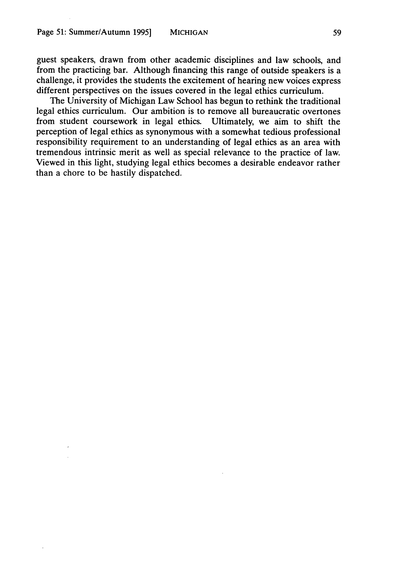guest speakers, drawn from other academic disciplines and law schools, and from the practicing bar. Although financing this range of outside speakers is a challenge, it provides the students the excitement of hearing new voices express different perspectives on the issues covered in the legal ethics curriculum.

The University of Michigan Law School has begun to rethink the traditional legal ethics curriculum. Our ambition is to remove all bureaucratic overtones from student coursework in legal ethics. Ultimately, we aim to shift the perception of legal ethics as synonymous with a somewhat tedious professional responsibility requirement to an understanding of legal ethics as an area with tremendous intrinsic merit as well as special relevance to the practice of law. Viewed in this light, studying legal ethics becomes a desirable endeavor rather than a chore to be hastily dispatched.